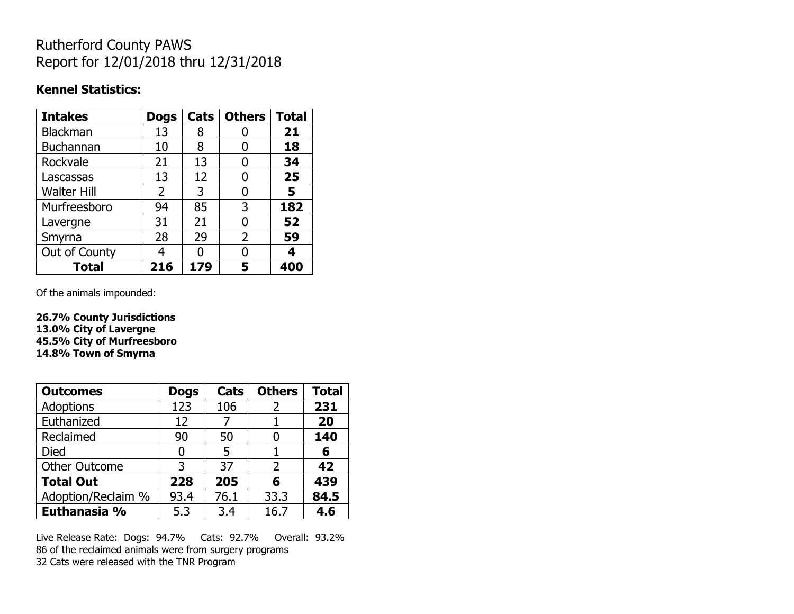## Rutherford County PAWS Report for 12/01/2018 thru 12/31/2018

### **Kennel Statistics:**

| <b>Intakes</b>     | <b>Dogs</b> | Cats | <b>Others</b>  | <b>Total</b> |
|--------------------|-------------|------|----------------|--------------|
| Blackman           | 13          | 8    |                | 21           |
| <b>Buchannan</b>   | 10          | 8    |                | 18           |
| Rockvale           | 21          | 13   |                | 34           |
| Lascassas          | 13          | 12   | 0              | 25           |
| <b>Walter Hill</b> | 2           | 3    | 0              | 5            |
| Murfreesboro       | 94          | 85   | 3              | 182          |
| Lavergne           | 31          | 21   | O              | 52           |
| Smyrna             | 28          | 29   | $\overline{2}$ | 59           |
| Out of County      | 4           | n    |                |              |
| <b>Total</b>       | 216         | 179  | 5              |              |

Of the animals impounded:

**26.7% County Jurisdictions 13.0% City of Lavergne 45.5% City of Murfreesboro 14.8% Town of Smyrna**

| <b>Outcomes</b>      | <b>Dogs</b> | Cats | <b>Others</b> | <b>Total</b> |
|----------------------|-------------|------|---------------|--------------|
| Adoptions            | 123         | 106  | 2             | 231          |
| Euthanized           | 12          |      |               | 20           |
| Reclaimed            | 90          | 50   |               | 140          |
| <b>Died</b>          | 0           | 5    |               | 6            |
| <b>Other Outcome</b> | 3           | 37   | $\mathcal{P}$ | 42           |
| <b>Total Out</b>     | 228         | 205  | 6             | 439          |
| Adoption/Reclaim %   | 93.4        | 76.1 | 33.3          | 84.5         |
| Euthanasia %         | 5.3         | 3.4  | 16.7          | 4.6          |

Live Release Rate: Dogs: 94.7% Cats: 92.7% Overall: 93.2% 86 of the reclaimed animals were from surgery programs 32 Cats were released with the TNR Program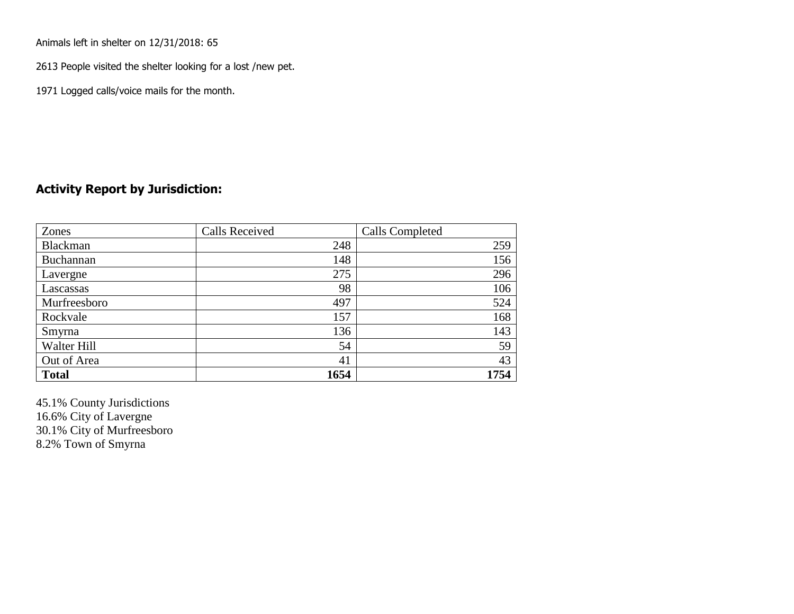Animals left in shelter on 12/31/2018: 65

2613 People visited the shelter looking for a lost /new pet.

1971 Logged calls/voice mails for the month.

### **Activity Report by Jurisdiction:**

| Zones           | <b>Calls Received</b> | Calls Completed |
|-----------------|-----------------------|-----------------|
| <b>Blackman</b> | 248                   | 259             |
| Buchannan       | 148                   | 156             |
| Lavergne        | 275                   | 296             |
| Lascassas       | 98                    | 106             |
| Murfreesboro    | 497                   | 524             |
| Rockvale        | 157                   | 168             |
| Smyrna          | 136                   | 143             |
| Walter Hill     | 54                    | 59              |
| Out of Area     | 41                    | 43              |
| <b>Total</b>    | 1654                  | 1754            |

45.1% County Jurisdictions 16.6% City of Lavergne 30.1% City of Murfreesboro 8.2% Town of Smyrna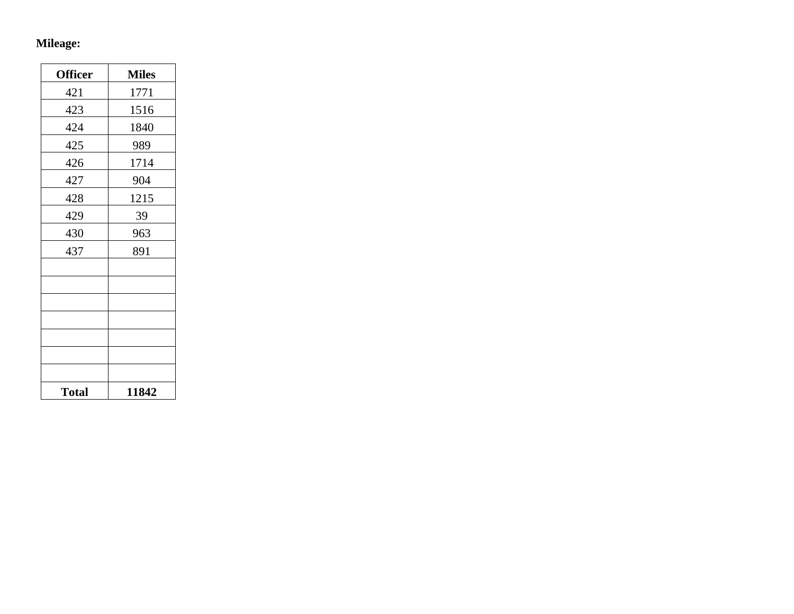## **Mileage:**

| <b>Officer</b> | <b>Miles</b> |
|----------------|--------------|
| 421            | 1771         |
| 423            | 1516         |
| 424            | 1840         |
| 425            | 989          |
| 426            | 1714         |
| 427            | 904          |
| 428            | 1215         |
| 429            | 39           |
| 430            | 963          |
| 437            | 891          |
|                |              |
|                |              |
|                |              |
|                |              |
|                |              |
|                |              |
|                |              |
| <b>Total</b>   | 11842        |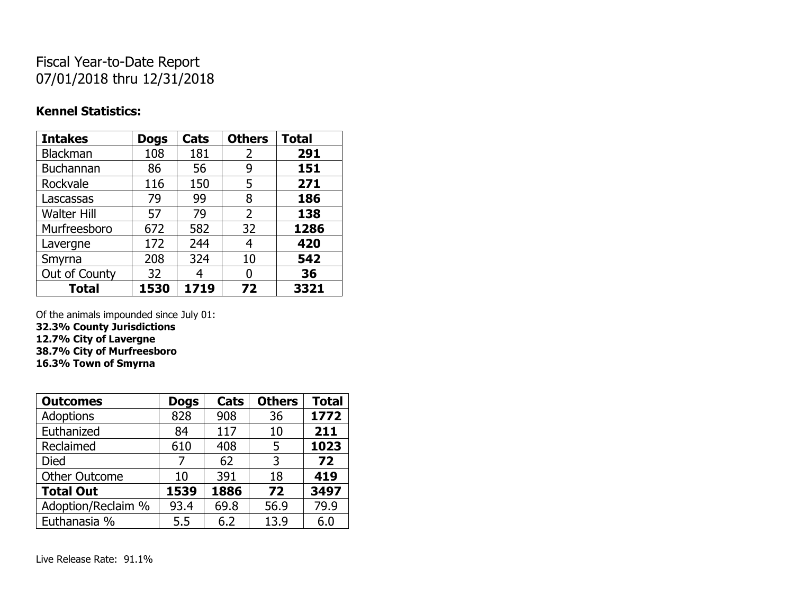# Fiscal Year-to-Date Report 07/01/2018 thru 12/31/2018

### **Kennel Statistics:**

| <b>Intakes</b>     | <b>Dogs</b> | Cats | <b>Others</b> | <b>Total</b> |
|--------------------|-------------|------|---------------|--------------|
| <b>Blackman</b>    | 108         | 181  | 2             | 291          |
| Buchannan          | 86          | 56   | 9             | 151          |
| Rockvale           | 116         | 150  | 5             | 271          |
| Lascassas          | 79          | 99   | 8             | 186          |
| <b>Walter Hill</b> | 57          | 79   | 2             | 138          |
| Murfreesboro       | 672         | 582  | 32            | 1286         |
| Lavergne           | 172         | 244  | 4             | 420          |
| Smyrna             | 208         | 324  | 10            | 542          |
| Out of County      | 32          | 4    | 0             | 36           |
| <b>Total</b>       | 1530        | 1719 | 72            | 3321         |

Of the animals impounded since July 01:

**32.3% County Jurisdictions**

**12.7% City of Lavergne 38.7% City of Murfreesboro**

**16.3% Town of Smyrna**

| <b>Outcomes</b>      | <b>Dogs</b> | Cats | <b>Others</b> | <b>Total</b> |
|----------------------|-------------|------|---------------|--------------|
| <b>Adoptions</b>     | 828         | 908  | 36            | 1772         |
| Euthanized           | 84          | 117  | 10            | 211          |
| Reclaimed            | 610         | 408  | 5             | 1023         |
| <b>Died</b>          | 7           | 62   | 3             | 72           |
| <b>Other Outcome</b> | 10          | 391  | 18            | 419          |
| <b>Total Out</b>     | 1539        | 1886 | 72            | 3497         |
| Adoption/Reclaim %   | 93.4        | 69.8 | 56.9          | 79.9         |
| Euthanasia %         | 5.5         | 6.2  | 13.9          | 6.0          |

Live Release Rate: 91.1%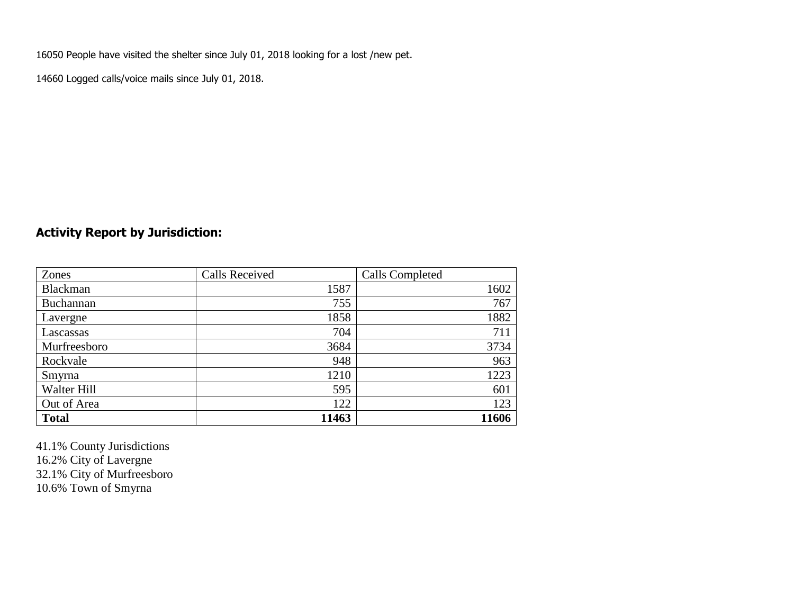16050 People have visited the shelter since July 01, 2018 looking for a lost /new pet.

14660 Logged calls/voice mails since July 01, 2018.

## **Activity Report by Jurisdiction:**

| Zones           | <b>Calls Received</b> | Calls Completed |
|-----------------|-----------------------|-----------------|
| <b>Blackman</b> | 1587                  | 1602            |
| Buchannan       | 755                   | 767             |
| Lavergne        | 1858                  | 1882            |
| Lascassas       | 704                   | 711             |
| Murfreesboro    | 3684                  | 3734            |
| Rockvale        | 948                   | 963             |
| Smyrna          | 1210                  | 1223            |
| Walter Hill     | 595                   | 601             |
| Out of Area     | 122                   | 123             |
| <b>Total</b>    | 11463                 | 11606           |

41.1% County Jurisdictions 16.2% City of Lavergne 32.1% City of Murfreesboro 10.6% Town of Smyrna